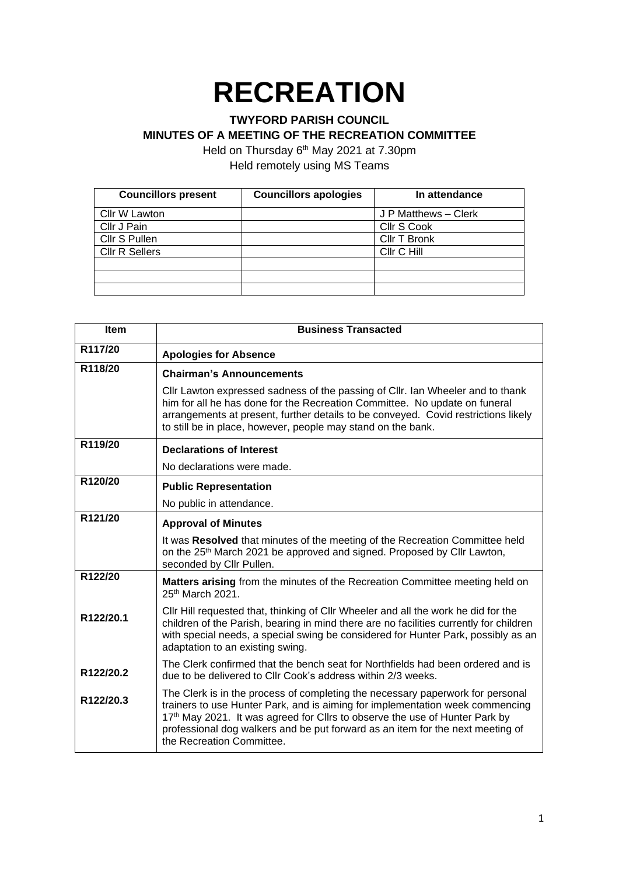## **RECREATION**

## **TWYFORD PARISH COUNCIL**

**MINUTES OF A MEETING OF THE RECREATION COMMITTEE**

Held on Thursday 6<sup>th</sup> May 2021 at 7.30pm

Held remotely using MS Teams

| <b>Councillors present</b> | <b>Councillors apologies</b> | In attendance        |
|----------------------------|------------------------------|----------------------|
| Cllr W Lawton              |                              | J P Matthews - Clerk |
| Cllr J Pain                |                              | Cllr S Cook          |
| Cllr S Pullen              |                              | Cllr T Bronk         |
| <b>CIIr R Sellers</b>      |                              | Cllr C Hill          |
|                            |                              |                      |
|                            |                              |                      |
|                            |                              |                      |

| <b>Item</b> | <b>Business Transacted</b>                                                                                                                                                                                                                                                                                                                                    |
|-------------|---------------------------------------------------------------------------------------------------------------------------------------------------------------------------------------------------------------------------------------------------------------------------------------------------------------------------------------------------------------|
| R117/20     | <b>Apologies for Absence</b>                                                                                                                                                                                                                                                                                                                                  |
| R118/20     | <b>Chairman's Announcements</b>                                                                                                                                                                                                                                                                                                                               |
|             | Cllr Lawton expressed sadness of the passing of Cllr. Ian Wheeler and to thank<br>him for all he has done for the Recreation Committee. No update on funeral<br>arrangements at present, further details to be conveyed. Covid restrictions likely<br>to still be in place, however, people may stand on the bank.                                            |
| R119/20     | <b>Declarations of Interest</b>                                                                                                                                                                                                                                                                                                                               |
|             | No declarations were made.                                                                                                                                                                                                                                                                                                                                    |
| R120/20     | <b>Public Representation</b>                                                                                                                                                                                                                                                                                                                                  |
|             | No public in attendance.                                                                                                                                                                                                                                                                                                                                      |
| R121/20     | <b>Approval of Minutes</b>                                                                                                                                                                                                                                                                                                                                    |
|             | It was Resolved that minutes of the meeting of the Recreation Committee held<br>on the 25 <sup>th</sup> March 2021 be approved and signed. Proposed by Cllr Lawton,<br>seconded by Cllr Pullen.                                                                                                                                                               |
| R122/20     | Matters arising from the minutes of the Recreation Committee meeting held on<br>25th March 2021.                                                                                                                                                                                                                                                              |
| R122/20.1   | Cllr Hill requested that, thinking of Cllr Wheeler and all the work he did for the<br>children of the Parish, bearing in mind there are no facilities currently for children<br>with special needs, a special swing be considered for Hunter Park, possibly as an<br>adaptation to an existing swing.                                                         |
| R122/20.2   | The Clerk confirmed that the bench seat for Northfields had been ordered and is<br>due to be delivered to Cllr Cook's address within 2/3 weeks.                                                                                                                                                                                                               |
| R122/20.3   | The Clerk is in the process of completing the necessary paperwork for personal<br>trainers to use Hunter Park, and is aiming for implementation week commencing<br>17th May 2021. It was agreed for Cllrs to observe the use of Hunter Park by<br>professional dog walkers and be put forward as an item for the next meeting of<br>the Recreation Committee. |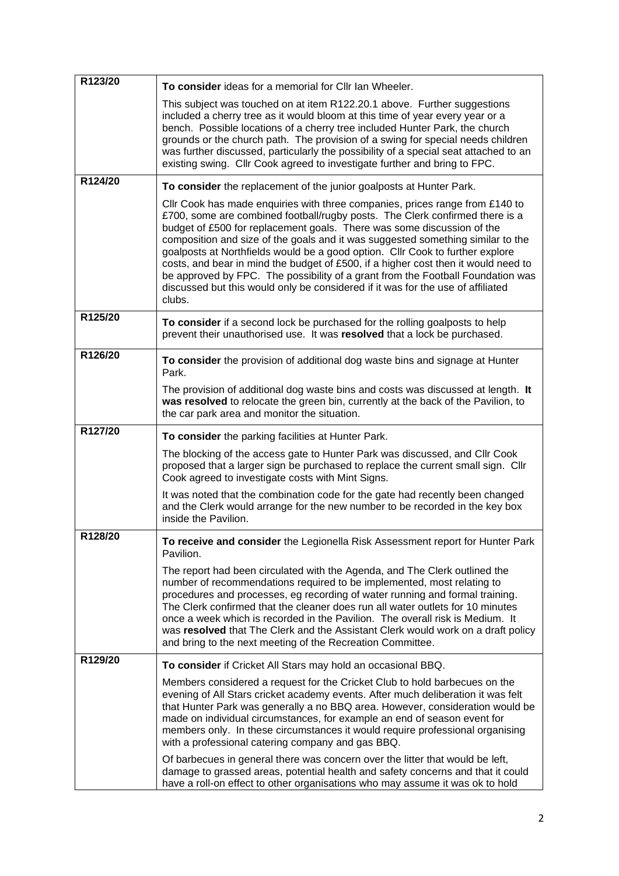| R123/20 | To consider ideas for a memorial for Cllr Ian Wheeler.                                                                                                                                                                                                                                                                                                                                                                                                                                                                                                                                                                                                                           |
|---------|----------------------------------------------------------------------------------------------------------------------------------------------------------------------------------------------------------------------------------------------------------------------------------------------------------------------------------------------------------------------------------------------------------------------------------------------------------------------------------------------------------------------------------------------------------------------------------------------------------------------------------------------------------------------------------|
|         | This subject was touched on at item R122.20.1 above. Further suggestions<br>included a cherry tree as it would bloom at this time of year every year or a<br>bench. Possible locations of a cherry tree included Hunter Park, the church<br>grounds or the church path. The provision of a swing for special needs children<br>was further discussed, particularly the possibility of a special seat attached to an<br>existing swing. Cllr Cook agreed to investigate further and bring to FPC.                                                                                                                                                                                 |
| R124/20 | To consider the replacement of the junior goalposts at Hunter Park.                                                                                                                                                                                                                                                                                                                                                                                                                                                                                                                                                                                                              |
|         | Cllr Cook has made enquiries with three companies, prices range from £140 to<br>£700, some are combined football/rugby posts. The Clerk confirmed there is a<br>budget of £500 for replacement goals. There was some discussion of the<br>composition and size of the goals and it was suggested something similar to the<br>goalposts at Northfields would be a good option. Cllr Cook to further explore<br>costs, and bear in mind the budget of £500, if a higher cost then it would need to<br>be approved by FPC. The possibility of a grant from the Football Foundation was<br>discussed but this would only be considered if it was for the use of affiliated<br>clubs. |
| R125/20 | To consider if a second lock be purchased for the rolling goalposts to help<br>prevent their unauthorised use. It was resolved that a lock be purchased.                                                                                                                                                                                                                                                                                                                                                                                                                                                                                                                         |
| R126/20 | To consider the provision of additional dog waste bins and signage at Hunter<br>Park.                                                                                                                                                                                                                                                                                                                                                                                                                                                                                                                                                                                            |
|         | The provision of additional dog waste bins and costs was discussed at length. It<br>was resolved to relocate the green bin, currently at the back of the Pavilion, to<br>the car park area and monitor the situation.                                                                                                                                                                                                                                                                                                                                                                                                                                                            |
| R127/20 | To consider the parking facilities at Hunter Park.                                                                                                                                                                                                                                                                                                                                                                                                                                                                                                                                                                                                                               |
|         | The blocking of the access gate to Hunter Park was discussed, and Cllr Cook<br>proposed that a larger sign be purchased to replace the current small sign. Cllr<br>Cook agreed to investigate costs with Mint Signs.                                                                                                                                                                                                                                                                                                                                                                                                                                                             |
|         | It was noted that the combination code for the gate had recently been changed<br>and the Clerk would arrange for the new number to be recorded in the key box<br>inside the Pavilion.                                                                                                                                                                                                                                                                                                                                                                                                                                                                                            |
| R128/20 | To receive and consider the Legionella Risk Assessment report for Hunter Park<br>Pavilion.                                                                                                                                                                                                                                                                                                                                                                                                                                                                                                                                                                                       |
|         | The report had been circulated with the Agenda, and The Clerk outlined the<br>number of recommendations required to be implemented, most relating to<br>procedures and processes, eg recording of water running and formal training.<br>The Clerk confirmed that the cleaner does run all water outlets for 10 minutes<br>once a week which is recorded in the Pavilion. The overall risk is Medium. It<br>was resolved that The Clerk and the Assistant Clerk would work on a draft policy<br>and bring to the next meeting of the Recreation Committee.                                                                                                                        |
| R129/20 | To consider if Cricket All Stars may hold an occasional BBQ.                                                                                                                                                                                                                                                                                                                                                                                                                                                                                                                                                                                                                     |
|         | Members considered a request for the Cricket Club to hold barbecues on the<br>evening of All Stars cricket academy events. After much deliberation it was felt<br>that Hunter Park was generally a no BBQ area. However, consideration would be<br>made on individual circumstances, for example an end of season event for<br>members only. In these circumstances it would require professional organising<br>with a professional catering company and gas BBQ.                                                                                                                                                                                                                |
|         | Of barbecues in general there was concern over the litter that would be left,<br>damage to grassed areas, potential health and safety concerns and that it could<br>have a roll-on effect to other organisations who may assume it was ok to hold                                                                                                                                                                                                                                                                                                                                                                                                                                |